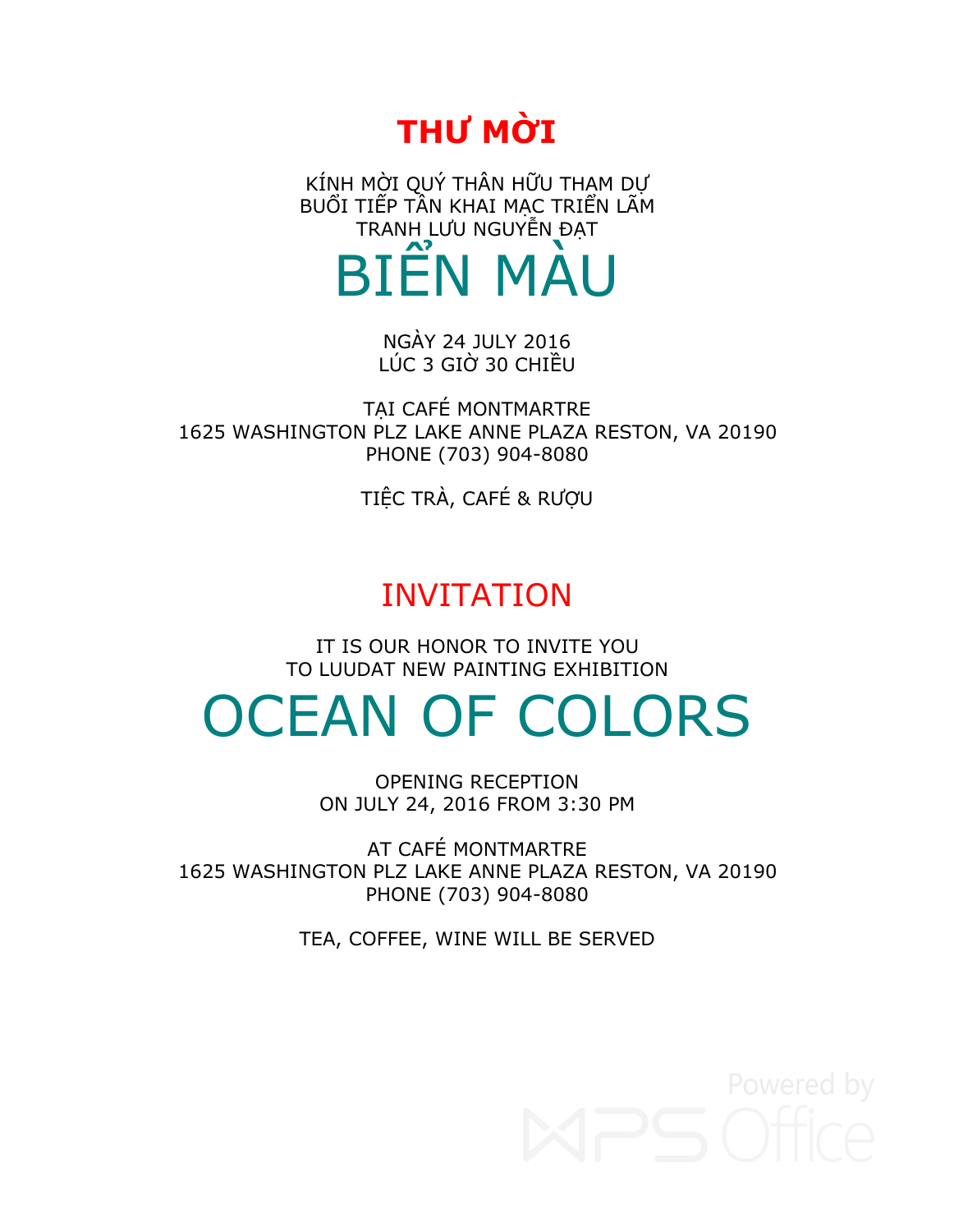### **THƯ MỜI**

KÍNH MỜI QUÝ THÂN HỮU THẠM DỰ BUỔI TIẾP TẦN KHAI MẠC TRIỂN LÃM TRANH LƯU NGUYỄN ĐAT ÊN MA

> NGÀY 24 JULY 2016 LÚC 3 GIỜ 30 CHIỀU

TẠI CAFÉ MONTMARTRE 1625 WASHINGTON PLZ LAKE ANNE PLAZA RESTON, VA 20190 PHONE (703) 904-8080

TIỆC TRÀ, CAFÉ & RƯỢU

### INVITATION

IT IS OUR HONOR TO INVITE YOU TO LUUDAT NEW PAINTING EXHIBITION

## OCEAN OF COLORS

OPENING RECEPTION ON JULY 24, 2016 FROM 3:30 PM

AT CAFÉ MONTMARTRE 1625 WASHINGTON PLZ LAKE ANNE PLAZA RESTON, VA 20190 PHONE (703) 904-8080

TEA, COFFEE, WINE WILL BE SERVED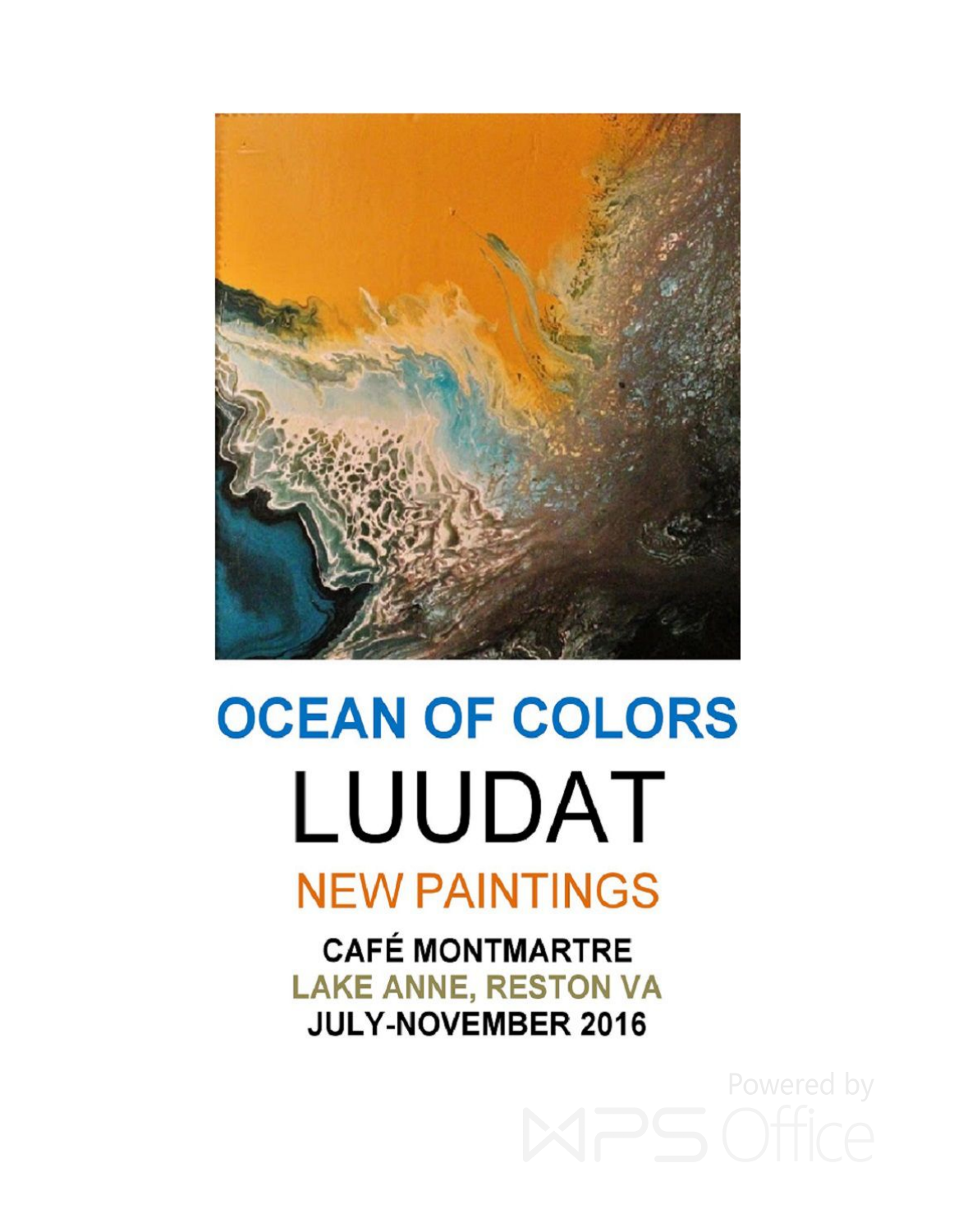

# **OCEAN OF COLORS** LUUDAT **NEW PAINTINGS**

**CAFÉ MONTMARTRE LAKE ANNE, RESTON VA JULY-NOVEMBER 2016**